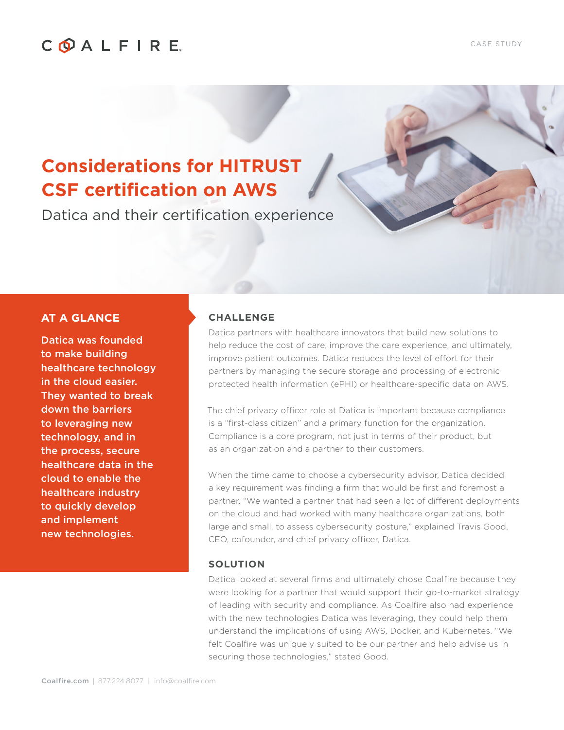## COALFIRE

# **Considerations for HITRUST CSF certification on AWS**

Datica and their certification experience

### **AT A GLANCE**

Datica was founded to make building healthcare technology in the cloud easier. They wanted to break down the barriers to leveraging new technology, and in the process, secure healthcare data in the cloud to enable the healthcare industry to quickly develop and implement new technologies.

#### **CHALLENGE**

Datica partners with healthcare innovators that build new solutions to help reduce the cost of care, improve the care experience, and ultimately, improve patient outcomes. Datica reduces the level of effort for their partners by managing the secure storage and processing of electronic protected health information (ePHI) or healthcare-specific data on AWS.

The chief privacy officer role at Datica is important because compliance is a "first-class citizen" and a primary function for the organization. Compliance is a core program, not just in terms of their product, but as an organization and a partner to their customers.

When the time came to choose a cybersecurity advisor, Datica decided a key requirement was finding a firm that would be first and foremost a partner. "We wanted a partner that had seen a lot of different deployments on the cloud and had worked with many healthcare organizations, both large and small, to assess cybersecurity posture," explained Travis Good, CEO, cofounder, and chief privacy officer, Datica.

#### **SOLUTION**

Datica looked at several firms and ultimately chose Coalfire because they were looking for a partner that would support their go-to-market strategy of leading with security and compliance. As Coalfire also had experience with the new technologies Datica was leveraging, they could help them understand the implications of using AWS, Docker, and Kubernetes. "We felt Coalfire was uniquely suited to be our partner and help advise us in securing those technologies," stated Good.